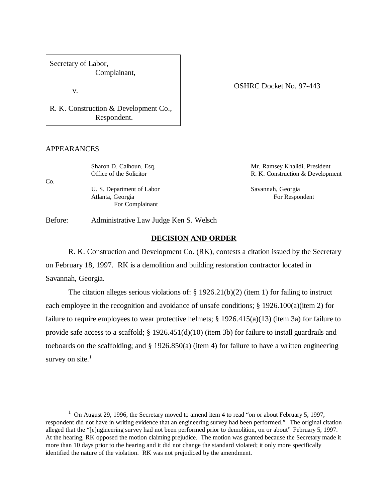Secretary of Labor, Complainant,

v.

R. K. Construction & Development Co., Respondent.

### APPEARANCES

Sharon D. Calhoun, Esq. Mr. Ramsey Khalidi, President Office of the Solicitor **R. K. Construction & Development** Co. U. S. Department of Labor Savannah, Georgia Atlanta, Georgia **For Respondent** For Respondent For Complainant

Before: Administrative Law Judge Ken S. Welsch

### **DECISION AND ORDER**

R. K. Construction and Development Co. (RK), contests a citation issued by the Secretary on February 18, 1997. RK is a demolition and building restoration contractor located in Savannah, Georgia.

The citation alleges serious violations of: § 1926.21(b)(2) (item 1) for failing to instruct each employee in the recognition and avoidance of unsafe conditions; § 1926.100(a)(item 2) for failure to require employees to wear protective helmets; § 1926.415(a)(13) (item 3a) for failure to provide safe access to a scaffold; § 1926.451(d)(10) (item 3b) for failure to install guardrails and toeboards on the scaffolding; and  $\S$  1926.850(a) (item 4) for failure to have a written engineering survey on site. $<sup>1</sup>$ </sup>

## OSHRC Docket No. 97-443

<sup>&</sup>lt;sup>1</sup> On August 29, 1996, the Secretary moved to amend item 4 to read "on or about February 5, 1997, respondent did not have in writing evidence that an engineering survey had been performed." The original citation alleged that the "[e]ngineering survey had not been performed prior to demolition, on or about" February 5, 1997. At the hearing, RK opposed the motion claiming prejudice. The motion was granted because the Secretary made it more than 10 days prior to the hearing and it did not change the standard violated; it only more specifically identified the nature of the violation. RK was not prejudiced by the amendment.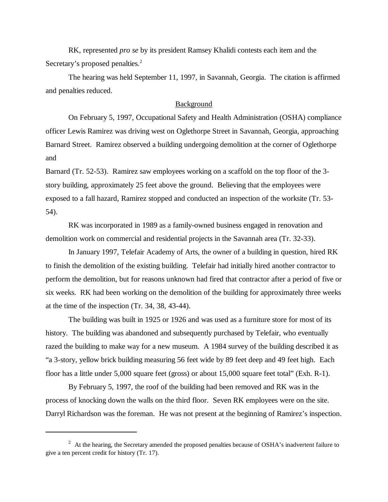RK, represented *pro se* by its president Ramsey Khalidi contests each item and the Secretary's proposed penalties.<sup>2</sup>

The hearing was held September 11, 1997, in Savannah, Georgia. The citation is affirmed and penalties reduced.

### Background

On February 5, 1997, Occupational Safety and Health Administration (OSHA) compliance officer Lewis Ramirez was driving west on Oglethorpe Street in Savannah, Georgia, approaching Barnard Street. Ramirez observed a building undergoing demolition at the corner of Oglethorpe and

Barnard (Tr. 52-53). Ramirez saw employees working on a scaffold on the top floor of the 3 story building, approximately 25 feet above the ground. Believing that the employees were exposed to a fall hazard, Ramirez stopped and conducted an inspection of the worksite (Tr. 53- 54).

RK was incorporated in 1989 as a family-owned business engaged in renovation and demolition work on commercial and residential projects in the Savannah area (Tr. 32-33).

In January 1997, Telefair Academy of Arts, the owner of a building in question, hired RK to finish the demolition of the existing building. Telefair had initially hired another contractor to perform the demolition, but for reasons unknown had fired that contractor after a period of five or six weeks. RK had been working on the demolition of the building for approximately three weeks at the time of the inspection (Tr. 34, 38, 43-44).

The building was built in 1925 or 1926 and was used as a furniture store for most of its history. The building was abandoned and subsequently purchased by Telefair, who eventually razed the building to make way for a new museum. A 1984 survey of the building described it as "a 3-story, yellow brick building measuring 56 feet wide by 89 feet deep and 49 feet high. Each floor has a little under 5,000 square feet (gross) or about 15,000 square feet total" (Exh. R-1).

By February 5, 1997, the roof of the building had been removed and RK was in the process of knocking down the walls on the third floor. Seven RK employees were on the site. Darryl Richardson was the foreman. He was not present at the beginning of Ramirez's inspection.

 $2$  At the hearing, the Secretary amended the proposed penalties because of OSHA's inadvertent failure to give a ten percent credit for history (Tr. 17).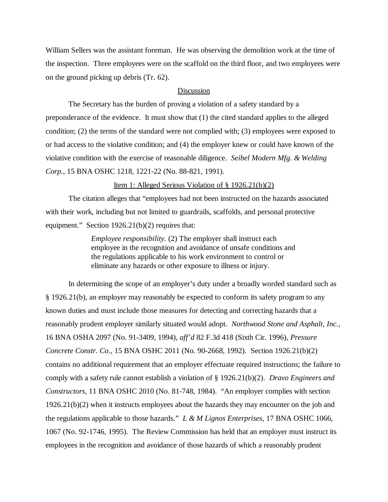William Sellers was the assistant foreman. He was observing the demolition work at the time of the inspection. Three employees were on the scaffold on the third floor, and two employees were on the ground picking up debris (Tr. 62).

#### Discussion

The Secretary has the burden of proving a violation of a safety standard by a preponderance of the evidence. It must show that (1) the cited standard applies to the alleged condition; (2) the terms of the standard were not complied with; (3) employees were exposed to or had access to the violative condition; and (4) the employer knew or could have known of the violative condition with the exercise of reasonable diligence. *Seibel Modern Mfg. & Welding Corp.,* 15 BNA OSHC 1218, 1221-22 (No. 88-821, 1991).

# Item 1: Alleged Serious Violation of § 1926.21(b)(2)

The citation alleges that "employees had not been instructed on the hazards associated with their work, including but not limited to guardrails, scaffolds, and personal protective equipment." Section 1926.21(b)(2) requires that:

> *Employee responsibility.* (2) The employer shall instruct each employee in the recognition and avoidance of unsafe conditions and the regulations applicable to his work environment to control or eliminate any hazards or other exposure to illness or injury.

In determining the scope of an employer's duty under a broadly worded standard such as § 1926.21(b), an employer may reasonably be expected to conform its safety program to any known duties and must include those measures for detecting and correcting hazards that a reasonably prudent employer similarly situated would adopt. *Northwood Stone and Asphalt, Inc.,* 16 BNA OSHA 2097 (No. 91-3409, 1994), *aff'd* 82 F.3d 418 (Sixth Cir. 1996), *Pressure Concrete Constr. Co.,* 15 BNA OSHC 2011 (No. 90-2668, 1992). Section 1926.21(b)(2) contains no additional requirement that an employer effectuate required instructions; the failure to comply with a safety rule cannot establish a violation of § 1926.21(b)(2). *Dravo Engineers and Constructors,* 11 BNA OSHC 2010 (No. 81-748, 1984). "An employer complies with section  $1926.21(b)(2)$  when it instructs employees about the hazards they may encounter on the job and the regulations applicable to those hazards." *L & M Lignos Enterprises,* 17 BNA OSHC 1066, 1067 (No. 92-1746, 1995). The Review Commission has held that an employer must instruct its employees in the recognition and avoidance of those hazards of which a reasonably prudent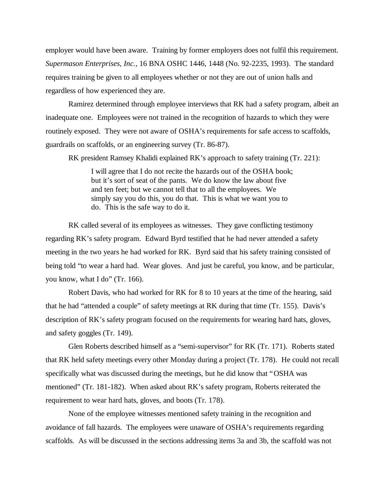employer would have been aware. Training by former employers does not fulfil this requirement. *Supermason Enterprises, Inc.,* 16 BNA OSHC 1446, 1448 (No. 92-2235, 1993). The standard requires training be given to all employees whether or not they are out of union halls and regardless of how experienced they are.

Ramirez determined through employee interviews that RK had a safety program, albeit an inadequate one. Employees were not trained in the recognition of hazards to which they were routinely exposed. They were not aware of OSHA's requirements for safe access to scaffolds, guardrails on scaffolds, or an engineering survey (Tr. 86-87).

RK president Ramsey Khalidi explained RK's approach to safety training (Tr. 221):

I will agree that I do not recite the hazards out of the OSHA book; but it's sort of seat of the pants. We do know the law about five and ten feet; but we cannot tell that to all the employees. We simply say you do this, you do that. This is what we want you to do. This is the safe way to do it.

RK called several of its employees as witnesses. They gave conflicting testimony regarding RK's safety program. Edward Byrd testified that he had never attended a safety meeting in the two years he had worked for RK. Byrd said that his safety training consisted of being told "to wear a hard had. Wear gloves. And just be careful, you know, and be particular, you know, what I do" (Tr. 166).

Robert Davis, who had worked for RK for 8 to 10 years at the time of the hearing, said that he had "attended a couple" of safety meetings at RK during that time (Tr. 155). Davis's description of RK's safety program focused on the requirements for wearing hard hats, gloves, and safety goggles (Tr. 149).

Glen Roberts described himself as a "semi-supervisor" for RK (Tr. 171). Roberts stated that RK held safety meetings every other Monday during a project (Tr. 178). He could not recall specifically what was discussed during the meetings, but he did know that "OSHA was mentioned" (Tr. 181-182). When asked about RK's safety program, Roberts reiterated the requirement to wear hard hats, gloves, and boots (Tr. 178).

None of the employee witnesses mentioned safety training in the recognition and avoidance of fall hazards. The employees were unaware of OSHA's requirements regarding scaffolds. As will be discussed in the sections addressing items 3a and 3b, the scaffold was not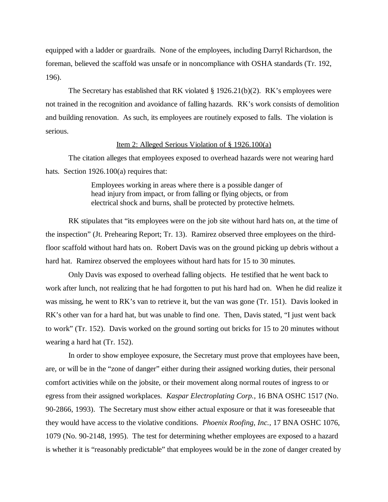equipped with a ladder or guardrails. None of the employees, including Darryl Richardson, the foreman, believed the scaffold was unsafe or in noncompliance with OSHA standards (Tr. 192, 196).

The Secretary has established that RK violated § 1926.21(b)(2). RK's employees were not trained in the recognition and avoidance of falling hazards. RK's work consists of demolition and building renovation. As such, its employees are routinely exposed to falls. The violation is serious.

## Item 2: Alleged Serious Violation of § 1926.100(a)

The citation alleges that employees exposed to overhead hazards were not wearing hard hats. Section 1926.100(a) requires that:

> Employees working in areas where there is a possible danger of head injury from impact, or from falling or flying objects, or from electrical shock and burns, shall be protected by protective helmets.

RK stipulates that "its employees were on the job site without hard hats on, at the time of the inspection" (Jt. Prehearing Report; Tr. 13). Ramirez observed three employees on the thirdfloor scaffold without hard hats on. Robert Davis was on the ground picking up debris without a hard hat. Ramirez observed the employees without hard hats for 15 to 30 minutes.

Only Davis was exposed to overhead falling objects. He testified that he went back to work after lunch, not realizing that he had forgotten to put his hard had on. When he did realize it was missing, he went to RK's van to retrieve it, but the van was gone (Tr. 151). Davis looked in RK's other van for a hard hat, but was unable to find one. Then, Davis stated, "I just went back to work" (Tr. 152). Davis worked on the ground sorting out bricks for 15 to 20 minutes without wearing a hard hat (Tr. 152).

In order to show employee exposure, the Secretary must prove that employees have been, are, or will be in the "zone of danger" either during their assigned working duties, their personal comfort activities while on the jobsite, or their movement along normal routes of ingress to or egress from their assigned workplaces. *Kaspar Electroplating Corp.,* 16 BNA OSHC 1517 (No. 90-2866, 1993). The Secretary must show either actual exposure or that it was foreseeable that they would have access to the violative conditions. *Phoenix Roofing, Inc.,* 17 BNA OSHC 1076, 1079 (No. 90-2148, 1995). The test for determining whether employees are exposed to a hazard is whether it is "reasonably predictable" that employees would be in the zone of danger created by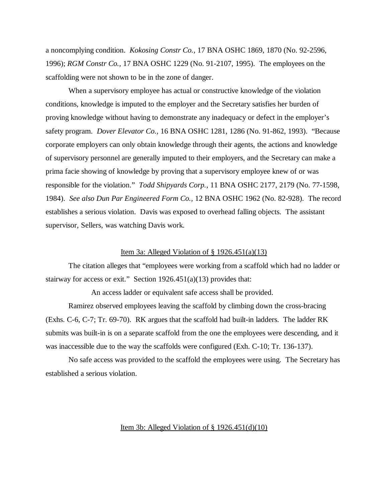a noncomplying condition. *Kokosing Constr Co.,* 17 BNA OSHC 1869, 1870 (No. 92-2596, 1996); *RGM Constr Co.,* 17 BNA OSHC 1229 (No. 91-2107, 1995). The employees on the scaffolding were not shown to be in the zone of danger.

When a supervisory employee has actual or constructive knowledge of the violation conditions, knowledge is imputed to the employer and the Secretary satisfies her burden of proving knowledge without having to demonstrate any inadequacy or defect in the employer's safety program. *Dover Elevator Co.,* 16 BNA OSHC 1281, 1286 (No. 91-862, 1993). "Because corporate employers can only obtain knowledge through their agents, the actions and knowledge of supervisory personnel are generally imputed to their employers, and the Secretary can make a prima facie showing of knowledge by proving that a supervisory employee knew of or was responsible for the violation." *Todd Shipyards Corp.*, 11 BNA OSHC 2177, 2179 (No. 77-1598, 1984). *See also Dun Par Engineered Form Co.,* 12 BNA OSHC 1962 (No. 82-928). The record establishes a serious violation. Davis was exposed to overhead falling objects. The assistant supervisor, Sellers, was watching Davis work.

### Item 3a: Alleged Violation of  $\S$  1926.451(a)(13)

The citation alleges that "employees were working from a scaffold which had no ladder or stairway for access or exit." Section  $1926.451(a)(13)$  provides that:

An access ladder or equivalent safe access shall be provided.

Ramirez observed employees leaving the scaffold by climbing down the cross-bracing (Exhs. C-6, C-7; Tr. 69-70). RK argues that the scaffold had built-in ladders. The ladder RK submits was built-in is on a separate scaffold from the one the employees were descending, and it was inaccessible due to the way the scaffolds were configured (Exh. C-10; Tr. 136-137).

No safe access was provided to the scaffold the employees were using. The Secretary has established a serious violation.

## Item 3b: Alleged Violation of  $\S 1926.451(d)(10)$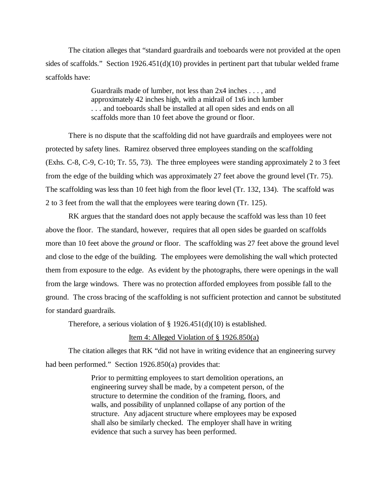The citation alleges that "standard guardrails and toeboards were not provided at the open sides of scaffolds." Section 1926.451(d)(10) provides in pertinent part that tubular welded frame scaffolds have:

> Guardrails made of lumber, not less than 2x4 inches . . . , and approximately 42 inches high, with a midrail of 1x6 inch lumber . . . and toeboards shall be installed at all open sides and ends on all scaffolds more than 10 feet above the ground or floor.

There is no dispute that the scaffolding did not have guardrails and employees were not protected by safety lines. Ramirez observed three employees standing on the scaffolding (Exhs. C-8, C-9, C-10; Tr. 55, 73). The three employees were standing approximately 2 to 3 feet from the edge of the building which was approximately 27 feet above the ground level (Tr. 75). The scaffolding was less than 10 feet high from the floor level (Tr. 132, 134). The scaffold was 2 to 3 feet from the wall that the employees were tearing down (Tr. 125).

RK argues that the standard does not apply because the scaffold was less than 10 feet above the floor. The standard, however, requires that all open sides be guarded on scaffolds more than 10 feet above the *ground* or floor. The scaffolding was 27 feet above the ground level and close to the edge of the building. The employees were demolishing the wall which protected them from exposure to the edge. As evident by the photographs, there were openings in the wall from the large windows. There was no protection afforded employees from possible fall to the ground. The cross bracing of the scaffolding is not sufficient protection and cannot be substituted for standard guardrails.

Therefore, a serious violation of  $\S 1926.451(d)(10)$  is established.

## Item 4: Alleged Violation of  $\S 1926.850(a)$

The citation alleges that RK "did not have in writing evidence that an engineering survey had been performed." Section 1926.850(a) provides that:

> Prior to permitting employees to start demolition operations, an engineering survey shall be made, by a competent person, of the structure to determine the condition of the framing, floors, and walls, and possibility of unplanned collapse of any portion of the structure. Any adjacent structure where employees may be exposed shall also be similarly checked. The employer shall have in writing evidence that such a survey has been performed.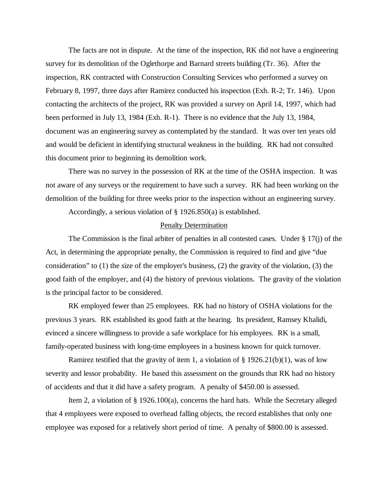The facts are not in dispute. At the time of the inspection, RK did not have a engineering survey for its demolition of the Oglethorpe and Barnard streets building (Tr. 36). After the inspection, RK contracted with Construction Consulting Services who performed a survey on February 8, 1997, three days after Ramirez conducted his inspection (Exh. R-2; Tr. 146). Upon contacting the architects of the project, RK was provided a survey on April 14, 1997, which had been performed in July 13, 1984 (Exh. R-1). There is no evidence that the July 13, 1984, document was an engineering survey as contemplated by the standard. It was over ten years old and would be deficient in identifying structural weakness in the building. RK had not consulted this document prior to beginning its demolition work.

There was no survey in the possession of RK at the time of the OSHA inspection. It was not aware of any surveys or the requirement to have such a survey. RK had been working on the demolition of the building for three weeks prior to the inspection without an engineering survey.

Accordingly, a serious violation of § 1926.850(a) is established.

#### Penalty Determination

The Commission is the final arbiter of penalties in all contested cases. Under  $\S 17(i)$  of the Act, in determining the appropriate penalty, the Commission is required to find and give "due consideration" to (1) the size of the employer's business, (2) the gravity of the violation, (3) the good faith of the employer, and (4) the history of previous violations. The gravity of the violation is the principal factor to be considered.

RK employed fewer than 25 employees. RK had no history of OSHA violations for the previous 3 years. RK established its good faith at the hearing. Its president, Ramsey Khalidi, evinced a sincere willingness to provide a safe workplace for his employees. RK is a small, family-operated business with long-time employees in a business known for quick turnover.

Ramirez testified that the gravity of item 1, a violation of  $\S 1926.21(b)(1)$ , was of low severity and lessor probability. He based this assessment on the grounds that RK had no history of accidents and that it did have a safety program. A penalty of \$450.00 is assessed.

Item 2, a violation of § 1926.100(a), concerns the hard hats. While the Secretary alleged that 4 employees were exposed to overhead falling objects, the record establishes that only one employee was exposed for a relatively short period of time. A penalty of \$800.00 is assessed.